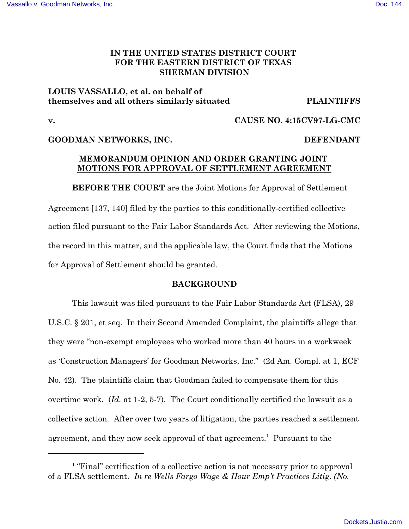## **IN THE UNITED STATES DISTRICT COURT FOR THE EASTERN DISTRICT OF TEXAS SHERMAN DIVISION**

# **LOUIS VASSALLO, et al. on behalf of themselves and all others similarly situated PLAINTIFFS**

### **v. CAUSE NO. 4:15CV97-LG-CMC**

### **GOODMAN NETWORKS, INC. DEFENDANT**

### **MEMORANDUM OPINION AND ORDER GRANTING JOINT MOTIONS FOR APPROVAL OF SETTLEMENT AGREEMENT**

**BEFORE THE COURT** are the Joint Motions for Approval of Settlement Agreement [137, 140] filed by the parties to this conditionally-certified collective action filed pursuant to the Fair Labor Standards Act. After reviewing the Motions, the record in this matter, and the applicable law, the Court finds that the Motions for Approval of Settlement should be granted.

### **BACKGROUND**

This lawsuit was filed pursuant to the Fair Labor Standards Act (FLSA), 29 U.S.C. § 201, et seq. In their Second Amended Complaint, the plaintiffs allege that they were "non-exempt employees who worked more than 40 hours in a workweek as 'Construction Managers' for Goodman Networks, Inc." (2d Am. Compl. at 1, ECF No. 42). The plaintiffs claim that Goodman failed to compensate them for this overtime work. (*Id.* at 1-2, 5-7). The Court conditionally certified the lawsuit as a collective action. After over two years of litigation, the parties reached a settlement agreement, and they now seek approval of that agreement.<sup>1</sup> Pursuant to the

 $\frac{1}{1}$  "Final" certification of a collective action is not necessary prior to approval of a FLSA settlement. *In re Wells Fargo Wage & Hour Emp't Practices Litig*. *(No.*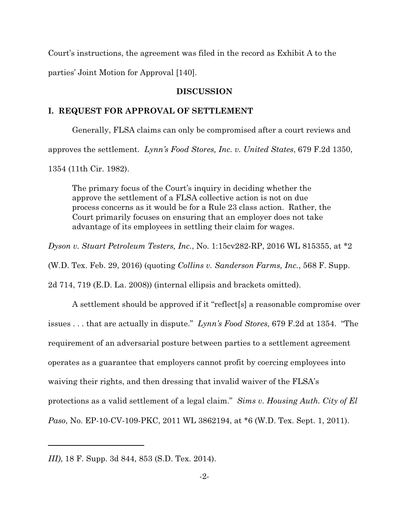Court's instructions, the agreement was filed in the record as Exhibit A to the parties' Joint Motion for Approval [140].

#### **DISCUSSION**

#### **I. REQUEST FOR APPROVAL OF SETTLEMENT**

Generally, FLSA claims can only be compromised after a court reviews and approves the settlement. *Lynn's Food Stores, Inc. v. United States*, 679 F.2d 1350, 1354 (11th Cir. 1982).

The primary focus of the Court's inquiry in deciding whether the approve the settlement of a FLSA collective action is not on due process concerns as it would be for a Rule 23 class action. Rather, the Court primarily focuses on ensuring that an employer does not take advantage of its employees in settling their claim for wages.

*Dyson v. Stuart Petroleum Testers, Inc.*, No. 1:15cv282-RP, 2016 WL 815355, at \*2

(W.D. Tex. Feb. 29, 2016) (quoting *Collins v. Sanderson Farms, Inc.*, 568 F. Supp.

2d 714, 719 (E.D. La. 2008)) (internal ellipsis and brackets omitted).

A settlement should be approved if it "reflect[s] a reasonable compromise over issues . . . that are actually in dispute." *Lynn's Food Stores*, 679 F.2d at 1354. "The requirement of an adversarial posture between parties to a settlement agreement operates as a guarantee that employers cannot profit by coercing employees into waiving their rights, and then dressing that invalid waiver of the FLSA's protections as a valid settlement of a legal claim." *Sims v. Housing Auth. City of El Paso*, No. EP-10-CV-109-PKC, 2011 WL 3862194, at \*6 (W.D. Tex. Sept. 1, 2011).

*III)*, 18 F. Supp. 3d 844, 853 (S.D. Tex. 2014).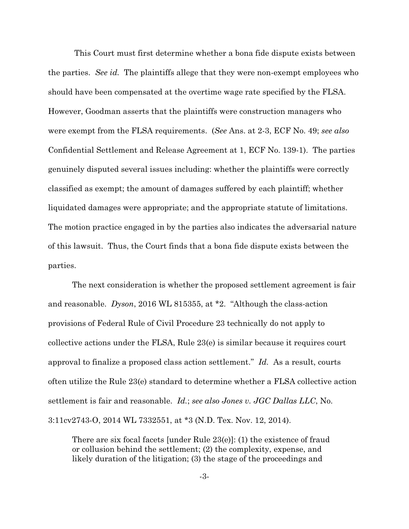This Court must first determine whether a bona fide dispute exists between the parties. *See id.* The plaintiffs allege that they were non-exempt employees who should have been compensated at the overtime wage rate specified by the FLSA. However, Goodman asserts that the plaintiffs were construction managers who were exempt from the FLSA requirements. (*See* Ans. at 2-3, ECF No. 49; *see also* Confidential Settlement and Release Agreement at 1, ECF No. 139-1). The parties genuinely disputed several issues including: whether the plaintiffs were correctly classified as exempt; the amount of damages suffered by each plaintiff; whether liquidated damages were appropriate; and the appropriate statute of limitations. The motion practice engaged in by the parties also indicates the adversarial nature of this lawsuit. Thus, the Court finds that a bona fide dispute exists between the parties.

The next consideration is whether the proposed settlement agreement is fair and reasonable. *Dyson*, 2016 WL 815355, at \*2. "Although the class-action provisions of Federal Rule of Civil Procedure 23 technically do not apply to collective actions under the FLSA, Rule 23(e) is similar because it requires court approval to finalize a proposed class action settlement." *Id.* As a result, courts often utilize the Rule 23(e) standard to determine whether a FLSA collective action settlement is fair and reasonable. *Id.*; *see also Jones v. JGC Dallas LLC*, No. 3:11cv2743-O, 2014 WL 7332551, at \*3 (N.D. Tex. Nov. 12, 2014).

There are six focal facets [under Rule 23(e)]: (1) the existence of fraud or collusion behind the settlement; (2) the complexity, expense, and likely duration of the litigation; (3) the stage of the proceedings and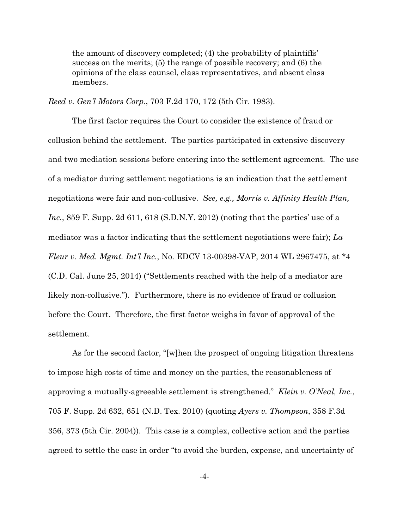the amount of discovery completed; (4) the probability of plaintiffs' success on the merits; (5) the range of possible recovery; and (6) the opinions of the class counsel, class representatives, and absent class members.

*Reed v. Gen'l Motors Corp.*, 703 F.2d 170, 172 (5th Cir. 1983).

The first factor requires the Court to consider the existence of fraud or collusion behind the settlement. The parties participated in extensive discovery and two mediation sessions before entering into the settlement agreement. The use of a mediator during settlement negotiations is an indication that the settlement negotiations were fair and non-collusive. *See, e.g., Morris v. Affinity Health Plan, Inc.*, 859 F. Supp. 2d 611, 618 (S.D.N.Y. 2012) (noting that the parties' use of a mediator was a factor indicating that the settlement negotiations were fair); *La Fleur v. Med. Mgmt. Int'l Inc.*, No. EDCV 13-00398-VAP, 2014 WL 2967475, at \*4 (C.D. Cal. June 25, 2014) ("Settlements reached with the help of a mediator are likely non-collusive."). Furthermore, there is no evidence of fraud or collusion before the Court. Therefore, the first factor weighs in favor of approval of the settlement.

As for the second factor, "[w]hen the prospect of ongoing litigation threatens to impose high costs of time and money on the parties, the reasonableness of approving a mutually-agreeable settlement is strengthened." *Klein v. O'Neal, Inc.*, 705 F. Supp. 2d 632, 651 (N.D. Tex. 2010) (quoting *Ayers v. Thompson*, 358 F.3d 356, 373 (5th Cir. 2004)). This case is a complex, collective action and the parties agreed to settle the case in order "to avoid the burden, expense, and uncertainty of

-4-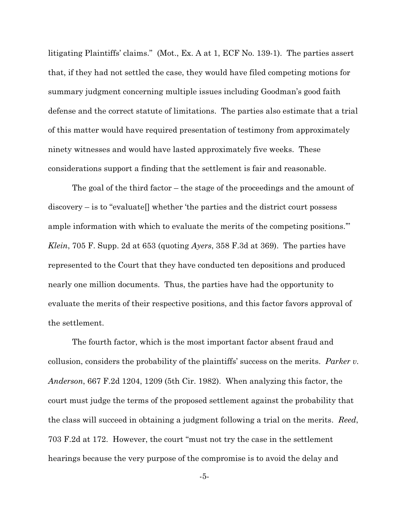litigating Plaintiffs' claims." (Mot., Ex. A at 1, ECF No. 139-1). The parties assert that, if they had not settled the case, they would have filed competing motions for summary judgment concerning multiple issues including Goodman's good faith defense and the correct statute of limitations. The parties also estimate that a trial of this matter would have required presentation of testimony from approximately ninety witnesses and would have lasted approximately five weeks. These considerations support a finding that the settlement is fair and reasonable.

The goal of the third factor – the stage of the proceedings and the amount of discovery – is to "evaluate[] whether 'the parties and the district court possess ample information with which to evaluate the merits of the competing positions.'" *Klein*, 705 F. Supp. 2d at 653 (quoting *Ayers*, 358 F.3d at 369). The parties have represented to the Court that they have conducted ten depositions and produced nearly one million documents. Thus, the parties have had the opportunity to evaluate the merits of their respective positions, and this factor favors approval of the settlement.

The fourth factor, which is the most important factor absent fraud and collusion, considers the probability of the plaintiffs' success on the merits. *Parker v. Anderson*, 667 F.2d 1204, 1209 (5th Cir. 1982). When analyzing this factor, the court must judge the terms of the proposed settlement against the probability that the class will succeed in obtaining a judgment following a trial on the merits. *Reed*, 703 F.2d at 172. However, the court "must not try the case in the settlement hearings because the very purpose of the compromise is to avoid the delay and

-5-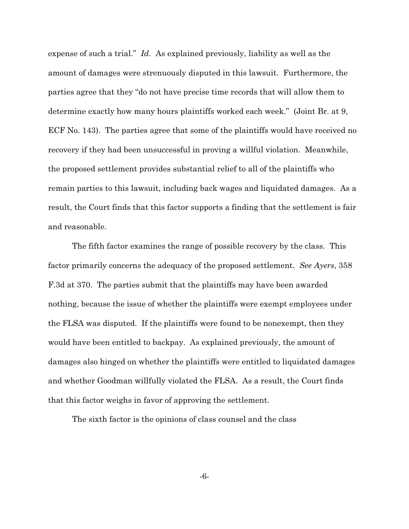expense of such a trial." *Id.* As explained previously, liability as well as the amount of damages were strenuously disputed in this lawsuit. Furthermore, the parties agree that they "do not have precise time records that will allow them to determine exactly how many hours plaintiffs worked each week." (Joint Br. at 9, ECF No. 143). The parties agree that some of the plaintiffs would have received no recovery if they had been unsuccessful in proving a willful violation. Meanwhile, the proposed settlement provides substantial relief to all of the plaintiffs who remain parties to this lawsuit, including back wages and liquidated damages. As a result, the Court finds that this factor supports a finding that the settlement is fair and reasonable.

The fifth factor examines the range of possible recovery by the class. This factor primarily concerns the adequacy of the proposed settlement. *See Ayers*, 358 F.3d at 370. The parties submit that the plaintiffs may have been awarded nothing, because the issue of whether the plaintiffs were exempt employees under the FLSA was disputed. If the plaintiffs were found to be nonexempt, then they would have been entitled to backpay. As explained previously, the amount of damages also hinged on whether the plaintiffs were entitled to liquidated damages and whether Goodman willfully violated the FLSA. As a result, the Court finds that this factor weighs in favor of approving the settlement.

The sixth factor is the opinions of class counsel and the class

-6-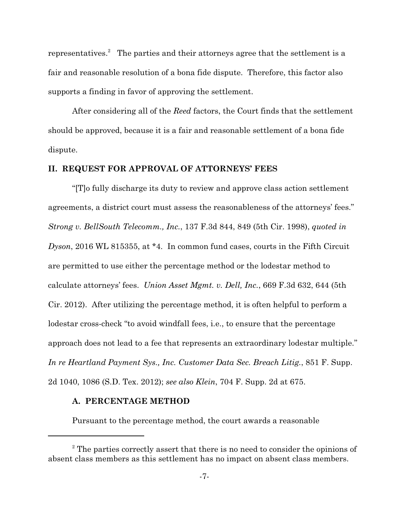representatives.<sup>2</sup> The parties and their attorneys agree that the settlement is a fair and reasonable resolution of a bona fide dispute. Therefore, this factor also supports a finding in favor of approving the settlement.

After considering all of the *Reed* factors, the Court finds that the settlement should be approved, because it is a fair and reasonable settlement of a bona fide dispute.

#### **II. REQUEST FOR APPROVAL OF ATTORNEYS' FEES**

"[T]o fully discharge its duty to review and approve class action settlement agreements, a district court must assess the reasonableness of the attorneys' fees." *Strong v. BellSouth Telecomm., Inc.*, 137 F.3d 844, 849 (5th Cir. 1998), *quoted in Dyson*, 2016 WL 815355, at \*4. In common fund cases, courts in the Fifth Circuit are permitted to use either the percentage method or the lodestar method to calculate attorneys' fees. *Union Asset Mgmt. v. Dell, Inc.*, 669 F.3d 632, 644 (5th Cir. 2012). After utilizing the percentage method, it is often helpful to perform a lodestar cross-check "to avoid windfall fees, i.e., to ensure that the percentage approach does not lead to a fee that represents an extraordinary lodestar multiple." *In re Heartland Payment Sys., Inc. Customer Data Sec. Breach Litig.*, 851 F. Supp. 2d 1040, 1086 (S.D. Tex. 2012); *see also Klein*, 704 F. Supp. 2d at 675.

#### **A. PERCENTAGE METHOD**

Pursuant to the percentage method, the court awards a reasonable

 $2^{\circ}$  The parties correctly assert that there is no need to consider the opinions of absent class members as this settlement has no impact on absent class members.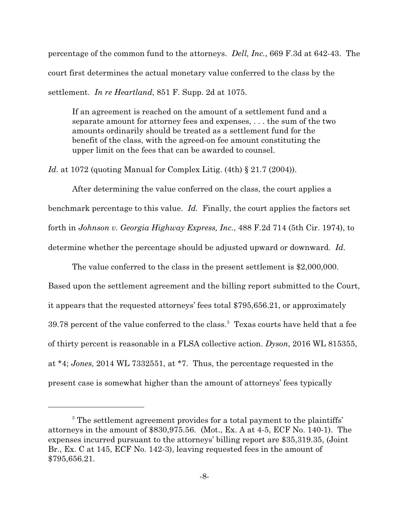percentage of the common fund to the attorneys. *Dell, Inc.*, 669 F.3d at 642-43. The court first determines the actual monetary value conferred to the class by the settlement. *In re Heartland*, 851 F. Supp. 2d at 1075.

If an agreement is reached on the amount of a settlement fund and a separate amount for attorney fees and expenses, . . . the sum of the two amounts ordinarily should be treated as a settlement fund for the benefit of the class, with the agreed-on fee amount constituting the upper limit on the fees that can be awarded to counsel.

*Id.* at 1072 (quoting Manual for Complex Litig. (4th) § 21.7 (2004)).

After determining the value conferred on the class, the court applies a benchmark percentage to this value. *Id.* Finally, the court applies the factors set forth in *Johnson v. Georgia Highway Express, Inc.*, 488 F.2d 714 (5th Cir. 1974), to determine whether the percentage should be adjusted upward or downward. *Id.* 

The value conferred to the class in the present settlement is \$2,000,000. Based upon the settlement agreement and the billing report submitted to the Court, it appears that the requested attorneys' fees total \$795,656.21, or approximately 39.78 percent of the value conferred to the class.<sup>3</sup> Texas courts have held that a fee of thirty percent is reasonable in a FLSA collective action. *Dyson*, 2016 WL 815355, at \*4; *Jones*, 2014 WL 7332551, at \*7. Thus, the percentage requested in the present case is somewhat higher than the amount of attorneys' fees typically

<sup>&</sup>lt;sup>3</sup> The settlement agreement provides for a total payment to the plaintiffs' attorneys in the amount of \$830,975.56. (Mot., Ex. A at 4-5, ECF No. 140-1). The expenses incurred pursuant to the attorneys' billing report are \$35,319.35, (Joint Br., Ex. C at 145, ECF No. 142-3), leaving requested fees in the amount of \$795,656.21.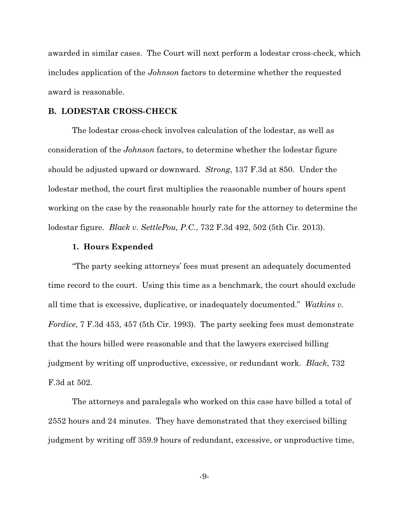awarded in similar cases. The Court will next perform a lodestar cross-check, which includes application of the *Johnson* factors to determine whether the requested award is reasonable.

#### **B. LODESTAR CROSS-CHECK**

The lodestar cross-check involves calculation of the lodestar, as well as consideration of the *Johnson* factors, to determine whether the lodestar figure should be adjusted upward or downward. *Strong*, 137 F.3d at 850. Under the lodestar method, the court first multiplies the reasonable number of hours spent working on the case by the reasonable hourly rate for the attorney to determine the lodestar figure. *Black v. SettlePou, P.C.*, 732 F.3d 492, 502 (5th Cir. 2013).

#### **1. Hours Expended**

"The party seeking attorneys' fees must present an adequately documented time record to the court. Using this time as a benchmark, the court should exclude all time that is excessive, duplicative, or inadequately documented." *Watkins v. Fordice*, 7 F.3d 453, 457 (5th Cir. 1993). The party seeking fees must demonstrate that the hours billed were reasonable and that the lawyers exercised billing judgment by writing off unproductive, excessive, or redundant work. *Black*, 732 F.3d at 502.

The attorneys and paralegals who worked on this case have billed a total of 2552 hours and 24 minutes. They have demonstrated that they exercised billing judgment by writing off 359.9 hours of redundant, excessive, or unproductive time,

-9-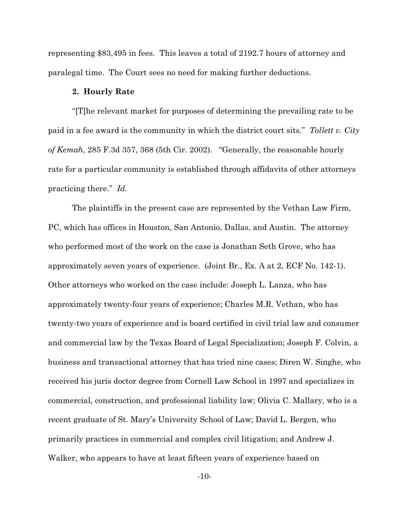representing \$83,495 in fees. This leaves a total of 2192.7 hours of attorney and paralegal time. The Court sees no need for making further deductions.

#### **2. Hourly Rate**

"[T]he relevant market for purposes of determining the prevailing rate to be paid in a fee award is the community in which the district court sits." *Tollett v. City of Kemah*, 285 F.3d 357, 368 (5th Cir. 2002). "Generally, the reasonable hourly rate for a particular community is established through affidavits of other attorneys practicing there." *Id.*

The plaintiffs in the present case are represented by the Vethan Law Firm, PC, which has offices in Houston, San Antonio, Dallas, and Austin. The attorney who performed most of the work on the case is Jonathan Seth Grove, who has approximately seven years of experience. (Joint Br., Ex. A at 2, ECF No. 142-1). Other attorneys who worked on the case include: Joseph L. Lanza, who has approximately twenty-four years of experience; Charles M.R. Vethan, who has twenty-two years of experience and is board certified in civil trial law and consumer and commercial law by the Texas Board of Legal Specialization; Joseph F. Colvin, a business and transactional attorney that has tried nine cases; Diren W. Singhe, who received his juris doctor degree from Cornell Law School in 1997 and specializes in commercial, construction, and professional liability law; Olivia C. Mallary, who is a recent graduate of St. Mary's University School of Law; David L. Bergen, who primarily practices in commercial and complex civil litigation; and Andrew J. Walker, who appears to have at least fifteen years of experience based on

-10-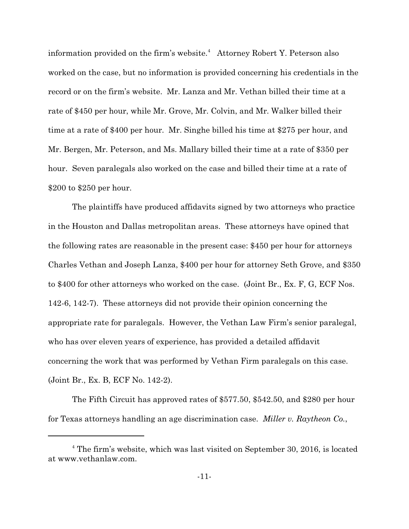information provided on the firm's website.<sup>4</sup> Attorney Robert Y. Peterson also worked on the case, but no information is provided concerning his credentials in the record or on the firm's website. Mr. Lanza and Mr. Vethan billed their time at a rate of \$450 per hour, while Mr. Grove, Mr. Colvin, and Mr. Walker billed their time at a rate of \$400 per hour. Mr. Singhe billed his time at \$275 per hour, and Mr. Bergen, Mr. Peterson, and Ms. Mallary billed their time at a rate of \$350 per hour. Seven paralegals also worked on the case and billed their time at a rate of \$200 to \$250 per hour.

The plaintiffs have produced affidavits signed by two attorneys who practice in the Houston and Dallas metropolitan areas. These attorneys have opined that the following rates are reasonable in the present case: \$450 per hour for attorneys Charles Vethan and Joseph Lanza, \$400 per hour for attorney Seth Grove, and \$350 to \$400 for other attorneys who worked on the case. (Joint Br., Ex. F, G, ECF Nos. 142-6, 142-7). These attorneys did not provide their opinion concerning the appropriate rate for paralegals. However, the Vethan Law Firm's senior paralegal, who has over eleven years of experience, has provided a detailed affidavit concerning the work that was performed by Vethan Firm paralegals on this case. (Joint Br., Ex. B, ECF No. 142-2).

The Fifth Circuit has approved rates of \$577.50, \$542.50, and \$280 per hour for Texas attorneys handling an age discrimination case. *Miller v. Raytheon Co.*,

<sup>&</sup>lt;sup>4</sup> The firm's website, which was last visited on September 30, 2016, is located at www.vethanlaw.com.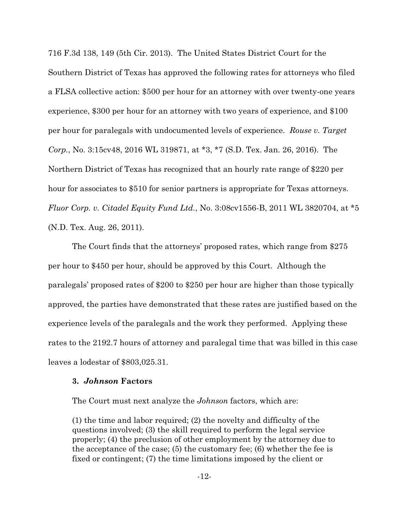716 F.3d 138, 149 (5th Cir. 2013). The United States District Court for the Southern District of Texas has approved the following rates for attorneys who filed a FLSA collective action: \$500 per hour for an attorney with over twenty-one years experience, \$300 per hour for an attorney with two years of experience, and \$100 per hour for paralegals with undocumented levels of experience. *Rouse v. Target Corp.*, No. 3:15cv48, 2016 WL 319871, at \*3, \*7 (S.D. Tex. Jan. 26, 2016). The Northern District of Texas has recognized that an hourly rate range of \$220 per hour for associates to \$510 for senior partners is appropriate for Texas attorneys. *Fluor Corp. v. Citadel Equity Fund Ltd.*, No. 3:08cv1556-B, 2011 WL 3820704, at \*5 (N.D. Tex. Aug. 26, 2011).

The Court finds that the attorneys' proposed rates, which range from \$275 per hour to \$450 per hour, should be approved by this Court. Although the paralegals' proposed rates of \$200 to \$250 per hour are higher than those typically approved, the parties have demonstrated that these rates are justified based on the experience levels of the paralegals and the work they performed. Applying these rates to the 2192.7 hours of attorney and paralegal time that was billed in this case leaves a lodestar of \$803,025.31.

#### **3.** *Johnson* **Factors**

The Court must next analyze the *Johnson* factors, which are:

(1) the time and labor required; (2) the novelty and difficulty of the questions involved; (3) the skill required to perform the legal service properly; (4) the preclusion of other employment by the attorney due to the acceptance of the case; (5) the customary fee; (6) whether the fee is fixed or contingent; (7) the time limitations imposed by the client or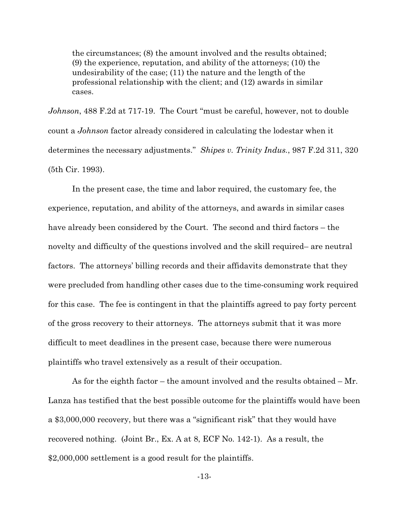the circumstances; (8) the amount involved and the results obtained; (9) the experience, reputation, and ability of the attorneys; (10) the undesirability of the case; (11) the nature and the length of the professional relationship with the client; and (12) awards in similar cases.

*Johnson*, 488 F.2d at 717-19. The Court "must be careful, however, not to double count a *Johnson* factor already considered in calculating the lodestar when it determines the necessary adjustments." *Shipes v. Trinity Indus.*, 987 F.2d 311, 320 (5th Cir. 1993).

In the present case, the time and labor required, the customary fee, the experience, reputation, and ability of the attorneys, and awards in similar cases have already been considered by the Court. The second and third factors – the novelty and difficulty of the questions involved and the skill required– are neutral factors. The attorneys' billing records and their affidavits demonstrate that they were precluded from handling other cases due to the time-consuming work required for this case. The fee is contingent in that the plaintiffs agreed to pay forty percent of the gross recovery to their attorneys. The attorneys submit that it was more difficult to meet deadlines in the present case, because there were numerous plaintiffs who travel extensively as a result of their occupation.

As for the eighth factor – the amount involved and the results obtained – Mr. Lanza has testified that the best possible outcome for the plaintiffs would have been a \$3,000,000 recovery, but there was a "significant risk" that they would have recovered nothing. (Joint Br., Ex. A at 8, ECF No. 142-1). As a result, the \$2,000,000 settlement is a good result for the plaintiffs.

-13-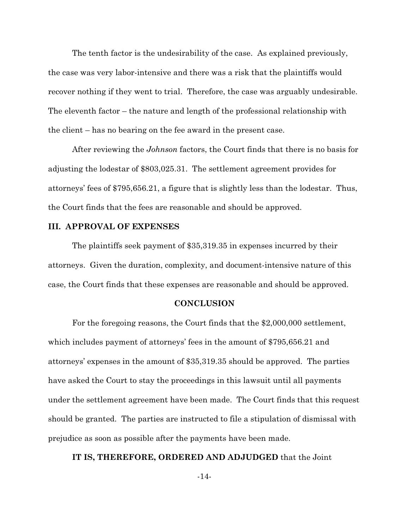The tenth factor is the undesirability of the case. As explained previously, the case was very labor-intensive and there was a risk that the plaintiffs would recover nothing if they went to trial. Therefore, the case was arguably undesirable. The eleventh factor – the nature and length of the professional relationship with the client – has no bearing on the fee award in the present case.

After reviewing the *Johnson* factors, the Court finds that there is no basis for adjusting the lodestar of \$803,025.31. The settlement agreement provides for attorneys' fees of \$795,656.21, a figure that is slightly less than the lodestar. Thus, the Court finds that the fees are reasonable and should be approved.

#### **III. APPROVAL OF EXPENSES**

The plaintiffs seek payment of \$35,319.35 in expenses incurred by their attorneys. Given the duration, complexity, and document-intensive nature of this case, the Court finds that these expenses are reasonable and should be approved.

#### **CONCLUSION**

For the foregoing reasons, the Court finds that the \$2,000,000 settlement, which includes payment of attorneys' fees in the amount of \$795,656.21 and attorneys' expenses in the amount of \$35,319.35 should be approved. The parties have asked the Court to stay the proceedings in this lawsuit until all payments under the settlement agreement have been made. The Court finds that this request should be granted. The parties are instructed to file a stipulation of dismissal with prejudice as soon as possible after the payments have been made.

#### **IT IS, THEREFORE, ORDERED AND ADJUDGED** that the Joint

-14-